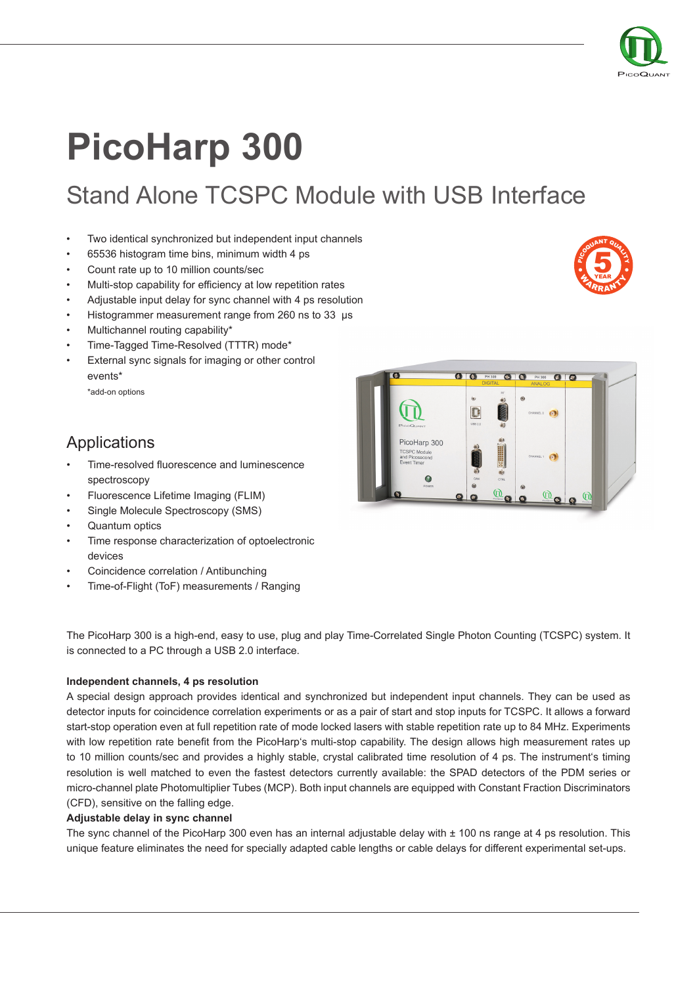

**5**<br>YEAR YEAR

**WARRANT** 

POUANT QUALITY

# **PicoHarp 300**

Stand Alone TCSPC Module with USB Interface

- Two identical synchronized but independent input channels
- 65536 histogram time bins, minimum width 4 ps
- Count rate up to 10 million counts/sec
- Multi-stop capability for efficiency at low repetition rates
- Adjustable input delay for sync channel with 4 ps resolution
- Histogrammer measurement range from 260 ns to 33 µs
- Multichannel routing capability\*
- Time-Tagged Time-Resolved (TTTR) mode\*
- External sync signals for imaging or other control events\*
	- \*add-on options

## Applications

- Time-resolved fluorescence and luminescence spectroscopy
- Fluorescence Lifetime Imaging (FLIM)
- Single Molecule Spectroscopy (SMS)
- Quantum optics
- Time response characterization of optoelectronic devices
- Coincidence correlation / Antibunching
- Time-of-Flight (ToF) measurements / Ranging

The PicoHarp 300 is a high-end, easy to use, plug and play Time-Correlated Single Photon Counting (TCSPC) system. It is connected to a PC through a USB 2.0 interface.

#### **Independent channels, 4 ps resolution**

A special design approach provides identical and synchronized but independent input channels. They can be used as detector inputs for coincidence correlation experiments or as a pair of start and stop inputs for TCSPC. It allows a forward start-stop operation even at full repetition rate of mode locked lasers with stable repetition rate up to 84 MHz. Experiments with low repetition rate benefit from the PicoHarp's multi-stop capability. The design allows high measurement rates up to 10 million counts/sec and provides a highly stable, crystal calibrated time resolution of 4 ps. The instrument's timing resolution is well matched to even the fastest detectors currently available: the SPAD detectors of the PDM series or micro-channel plate Photomultiplier Tubes (MCP). Both input channels are equipped with Constant Fraction Discriminators (CFD), sensitive on the falling edge.

### **Adjustable delay in sync channel**

The sync channel of the PicoHarp 300 even has an internal adjustable delay with  $\pm$  100 ns range at 4 ps resolution. This unique feature eliminates the need for specially adapted cable lengths or cable delays for different experimental set-ups.

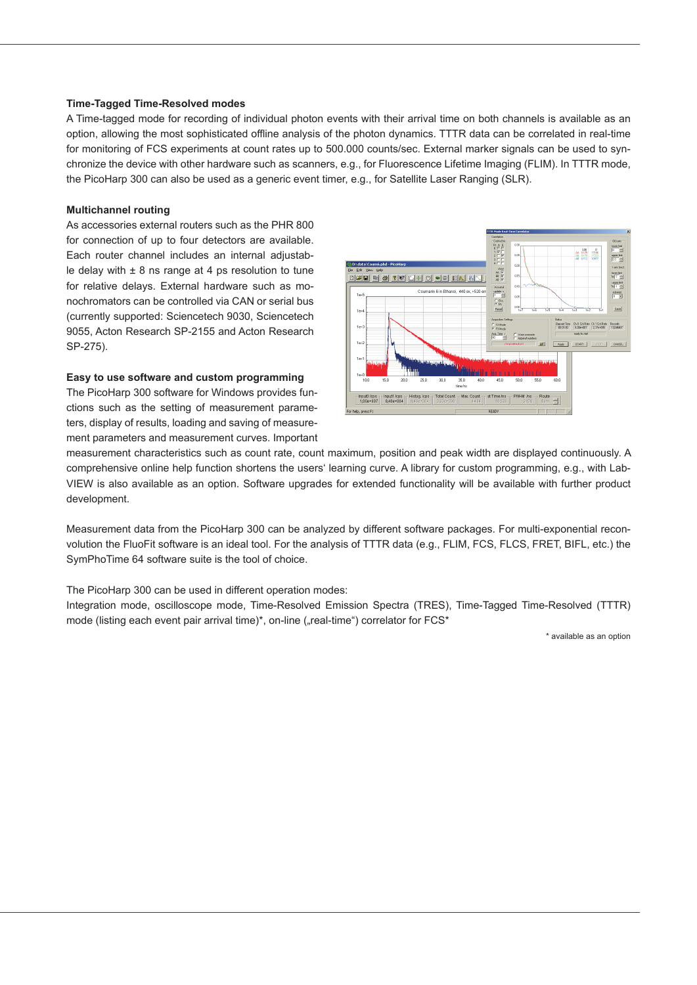#### **Time-Tagged Time-Resolved modes**

A Time-tagged mode for recording of individual photon events with their arrival time on both channels is available as an option, allowing the most sophisticated offline analysis of the photon dynamics. TTTR data can be correlated in real-time for monitoring of FCS experiments at count rates up to 500.000 counts/sec. External marker signals can be used to synchronize the device with other hardware such as scanners, e.g., for Fluorescence Lifetime Imaging (FLIM). In TTTR mode, the PicoHarp 300 can also be used as a generic event timer, e.g., for Satellite Laser Ranging (SLR).

#### **Multichannel routing**

As accessories external routers such as the PHR 800 for connection of up to four detectors are available. Each router channel includes an internal adjustable delay with  $\pm$  8 ns range at 4 ps resolution to tune for relative delays. External hardware such as monochromators can be controlled via CAN or serial bus (currently supported: Sciencetech 9030, Sciencetech 9055, Acton Research SP-2155 and Acton Research SP-275).

#### **Easy to use software and custom programming**

The PicoHarp 300 software for Windows provides functions such as the setting of measurement parameters, display of results, loading and saving of measurement parameters and measurement curves. Important



measurement characteristics such as count rate, count maximum, position and peak width are displayed continuously. A comprehensive online help function shortens the users' learning curve. A library for custom programming, e.g., with Lab-VIEW is also available as an option. Software upgrades for extended functionality will be available with further product development.

Measurement data from the PicoHarp 300 can be analyzed by different software packages. For multi-exponential reconvolution the FluoFit software is an ideal tool. For the analysis of TTTR data (e.g., FLIM, FCS, FLCS, FRET, BIFL, etc.) the SymPhoTime 64 software suite is the tool of choice.

The PicoHarp 300 can be used in different operation modes:

Integration mode, oscilloscope mode, Time-Resolved Emission Spectra (TRES), Time-Tagged Time-Resolved (TTTR) mode (listing each event pair arrival time)\*, on-line ("real-time") correlator for FCS\*

\* available as an option